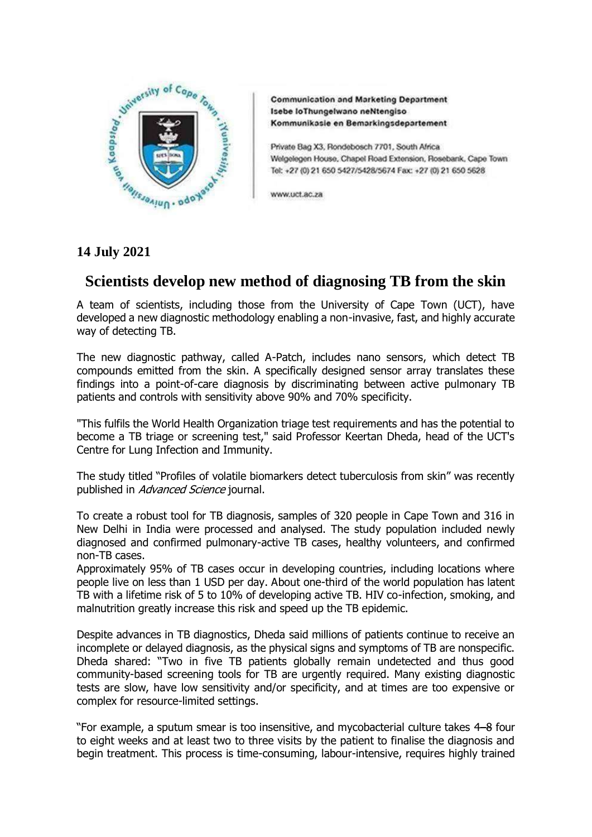

**Communication and Marketing Department** Isebe loThungelwano neNtengiso Kommunikasle en Bemarkingsdepartement

Private Bag X3, Rondebosch 7701, South Africa Welgelegen House, Chapel Road Extension, Rosebank, Cape Town Tel: +27 (0) 21 650 5427/5428/5674 Fax: +27 (0) 21 650 5628

www.uct.ac.za

## **14 July 2021**

## **Scientists develop new method of diagnosing TB from the skin**

A team of scientists, including those from the University of Cape Town (UCT), have developed a new diagnostic methodology enabling a non-invasive, fast, and highly accurate way of detecting TB.

The new diagnostic pathway, called A-Patch, includes nano sensors, which detect TB compounds emitted from the skin. A specifically designed sensor array translates these findings into a point-of-care diagnosis by discriminating between active pulmonary TB patients and controls with sensitivity above 90% and 70% specificity.

"This fulfils the World Health Organization triage test requirements and has the potential to become a TB triage or screening test," said Professor Keertan Dheda, head of the UCT's Centre for Lung Infection and Immunity.

The study titled "Profiles of volatile biomarkers detect tuberculosis from skin" was recently published in Advanced Science journal.

To create a robust tool for TB diagnosis, samples of 320 people in Cape Town and 316 in New Delhi in India were processed and analysed. The study population included newly diagnosed and confirmed pulmonary-active TB cases, healthy volunteers, and confirmed non-TB cases.

Approximately 95% of TB cases occur in developing countries, including locations where people live on less than 1 USD per day. About one-third of the world population has latent TB with a lifetime risk of 5 to 10% of developing active TB. HIV co-infection, smoking, and malnutrition greatly increase this risk and speed up the TB epidemic.

Despite advances in TB diagnostics, Dheda said millions of patients continue to receive an incomplete or delayed diagnosis, as the physical signs and symptoms of TB are nonspecific. Dheda shared: "Two in five TB patients globally remain undetected and thus good community-based screening tools for TB are urgently required. Many existing diagnostic tests are slow, have low sensitivity and/or specificity, and at times are too expensive or complex for resource-limited settings.

"For example, a sputum smear is too insensitive, and mycobacterial culture takes 4–8 four to eight weeks and at least two to three visits by the patient to finalise the diagnosis and begin treatment. This process is time-consuming, labour-intensive, requires highly trained